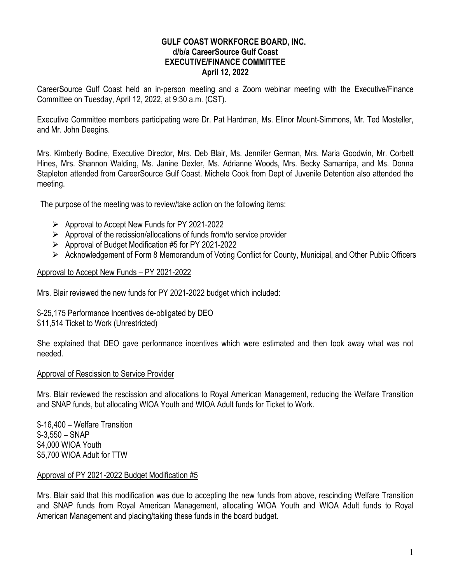#### **GULF COAST WORKFORCE BOARD, INC. d/b/a CareerSource Gulf Coast EXECUTIVE/FINANCE COMMITTEE April 12, 2022**

CareerSource Gulf Coast held an in-person meeting and a Zoom webinar meeting with the Executive/Finance Committee on Tuesday, April 12, 2022, at 9:30 a.m. (CST).

Executive Committee members participating were Dr. Pat Hardman, Ms. Elinor Mount-Simmons, Mr. Ted Mosteller, and Mr. John Deegins.

Mrs. Kimberly Bodine, Executive Director, Mrs. Deb Blair, Ms. Jennifer German, Mrs. Maria Goodwin, Mr. Corbett Hines, Mrs. Shannon Walding, Ms. Janine Dexter, Ms. Adrianne Woods, Mrs. Becky Samarripa, and Ms. Donna Stapleton attended from CareerSource Gulf Coast. Michele Cook from Dept of Juvenile Detention also attended the meeting.

The purpose of the meeting was to review/take action on the following items:

- ➢ Approval to Accept New Funds for PY 2021-2022
- ➢ Approval of the recission/allocations of funds from/to service provider
- ➢ Approval of Budget Modification #5 for PY 2021-2022
- ➢ Acknowledgement of Form 8 Memorandum of Voting Conflict for County, Municipal, and Other Public Officers

### Approval to Accept New Funds – PY 2021-2022

Mrs. Blair reviewed the new funds for PY 2021-2022 budget which included:

\$-25,175 Performance Incentives de-obligated by DEO \$11,514 Ticket to Work (Unrestricted)

She explained that DEO gave performance incentives which were estimated and then took away what was not needed.

#### Approval of Rescission to Service Provider

Mrs. Blair reviewed the rescission and allocations to Royal American Management, reducing the Welfare Transition and SNAP funds, but allocating WIOA Youth and WIOA Adult funds for Ticket to Work.

\$-16,400 – Welfare Transition \$-3,550 – SNAP \$4,000 WIOA Youth \$5,700 WIOA Adult for TTW

### Approval of PY 2021-2022 Budget Modification #5

Mrs. Blair said that this modification was due to accepting the new funds from above, rescinding Welfare Transition and SNAP funds from Royal American Management, allocating WIOA Youth and WIOA Adult funds to Royal American Management and placing/taking these funds in the board budget.